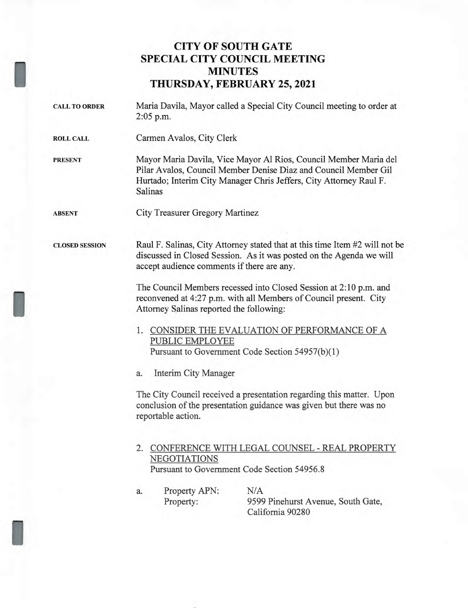## **CITY OF SOUTH GATE SPECIAL CITY COUNCIL MEETING MINUTES THURSDAY, FEBRUARY 25, 2021**

| $2:05$ p.m.                      |                                                                                                                                                                                                           |
|----------------------------------|-----------------------------------------------------------------------------------------------------------------------------------------------------------------------------------------------------------|
|                                  |                                                                                                                                                                                                           |
| Salinas                          | Mayor Maria Davila, Vice Mayor Al Rios, Council Member Maria del<br>Pilar Avalos, Council Member Denise Diaz and Council Member Gil<br>Hurtado; Interim City Manager Chris Jeffers, City Attorney Raul F. |
|                                  |                                                                                                                                                                                                           |
|                                  | Raul F. Salinas, City Attorney stated that at this time Item #2 will not be<br>discussed in Closed Session. As it was posted on the Agenda we will                                                        |
|                                  | The Council Members recessed into Closed Session at 2:10 p.m. and<br>reconvened at 4:27 p.m. with all Members of Council present. City                                                                    |
|                                  | 1. CONSIDER THE EVALUATION OF PERFORMANCE OF A<br>Pursuant to Government Code Section 54957(b)(1)                                                                                                         |
| a.                               |                                                                                                                                                                                                           |
| reportable action.               | The City Council received a presentation regarding this matter. Upon<br>conclusion of the presentation guidance was given but there was no                                                                |
| NEGOTIATIONS                     | 2. CONFERENCE WITH LEGAL COUNSEL - REAL PROPERTY<br>Pursuant to Government Code Section 54956.8                                                                                                           |
| Property APN:<br>a.<br>Property: | N/A<br>9599 Pinehurst Avenue, South Gate,<br>California 90280                                                                                                                                             |
|                                  | Carmen Avalos, City Clerk<br>City Treasurer Gregory Martinez<br>accept audience comments if there are any.<br>Attorney Salinas reported the following:<br>PUBLIC EMPLOYEE<br>Interim City Manager         |